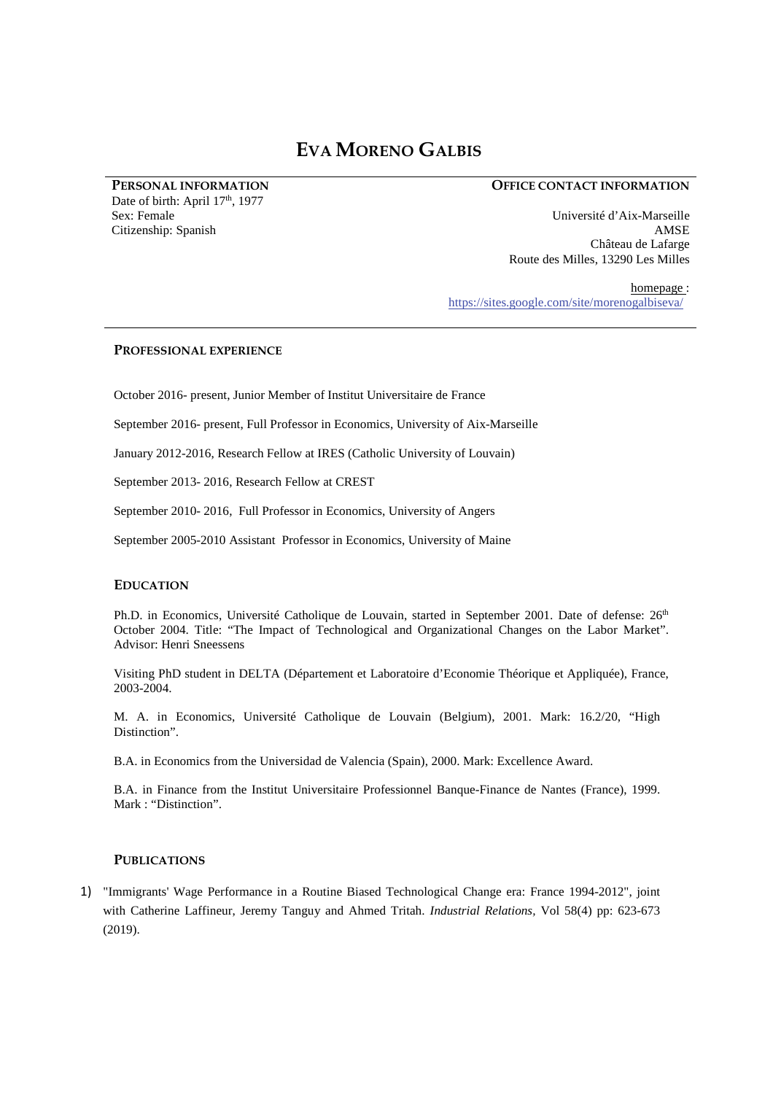# **EVA MORENO GALBIS**

**PERSONAL INFORMATION**  Date of birth: April 17<sup>th</sup>, 1977 Sex: Female Citizenship: Spanish

## **OFFICE CONTACT INFORMATION**

Université d'Aix-Marseille AMSE Château de Lafarge Route des Milles, 13290 Les Milles

homepage : https://sites.google.com/site/morenogalbiseva/

# **PROFESSIONAL EXPERIENCE**

October 2016- present, Junior Member of Institut Universitaire de France

September 2016- present, Full Professor in Economics, University of Aix-Marseille

January 2012-2016, Research Fellow at IRES (Catholic University of Louvain)

September 2013- 2016, Research Fellow at CREST

September 2010- 2016, Full Professor in Economics, University of Angers

September 2005-2010 Assistant Professor in Economics, University of Maine

# **EDUCATION**

Ph.D. in Economics, Université Catholique de Louvain, started in September 2001. Date of defense: 26<sup>th</sup> October 2004. Title: "The Impact of Technological and Organizational Changes on the Labor Market". Advisor: Henri Sneessens

Visiting PhD student in DELTA (Département et Laboratoire d'Economie Théorique et Appliquée), France, 2003-2004.

M. A. in Economics, Université Catholique de Louvain (Belgium), 2001. Mark: 16.2/20, "High Distinction".

B.A. in Economics from the Universidad de Valencia (Spain), 2000. Mark: Excellence Award.

B.A. in Finance from the Institut Universitaire Professionnel Banque-Finance de Nantes (France), 1999. Mark : "Distinction".

# **PUBLICATIONS**

1) "Immigrants' Wage Performance in a Routine Biased Technological Change era: France 1994-2012", joint with Catherine Laffineur, Jeremy Tanguy and Ahmed Tritah. *Industrial Relations,* Vol 58(4) pp: 623-673 (2019).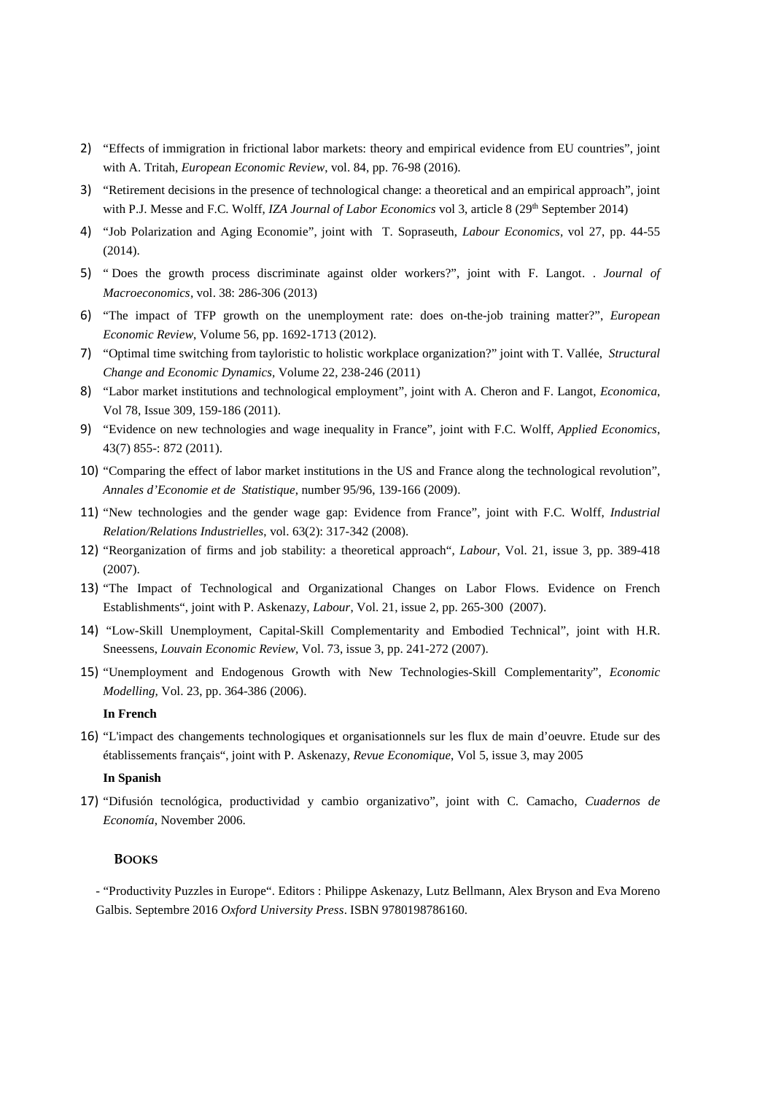- 2) "Effects of immigration in frictional labor markets: theory and empirical evidence from EU countries", joint with A. Tritah, *European Economic Review*, vol. 84, pp. 76-98 (2016)*.*
- 3) "Retirement decisions in the presence of technological change: a theoretical and an empirical approach", joint with P.J. Messe and F.C. Wolff, *IZA Journal of Labor Economics* vol 3, article 8 (29<sup>th</sup> September 2014)
- 4) "Job Polarization and Aging Economie", joint with T. Sopraseuth, *Labour Economics,* vol 27, pp. 44-55 (2014).
- 5) " Does the growth process discriminate against older workers?", joint with F. Langot. . *Journal of Macroeconomics,* vol. 38: 286-306 (2013)
- 6) "The impact of TFP growth on the unemployment rate: does on-the-job training matter?", *European Economic Review*, Volume 56, pp. 1692-1713 (2012).
- 7) "Optimal time switching from tayloristic to holistic workplace organization?" joint with T. Vallée, *Structural Change and Economic Dynamics,* Volume 22, 238-246 (2011)
- 8) "Labor market institutions and technological employment", joint with A. Cheron and F. Langot, *Economica*, Vol 78, Issue 309, 159-186 (2011).
- 9) "Evidence on new technologies and wage inequality in France", joint with F.C. Wolff, *Applied Economics*, 43(7) 855-: 872 (2011).
- 10) "Comparing the effect of labor market institutions in the US and France along the technological revolution", *Annales d'Economie et de Statistique*, number 95/96, 139-166 (2009).
- 11) "New technologies and the gender wage gap: Evidence from France", joint with F.C. Wolff, *Industrial Relation/Relations Industrielles*, vol. 63(2): 317-342 (2008).
- 12) "Reorganization of firms and job stability: a theoretical approach", *Labour*, Vol. 21, issue 3, pp. 389-418 (2007).
- 13) "The Impact of Technological and Organizational Changes on Labor Flows. Evidence on French Establishments", joint with P. Askenazy, *Labour*, Vol. 21, issue 2, pp. 265-300 (2007).
- 14) "Low-Skill Unemployment, Capital-Skill Complementarity and Embodied Technical", joint with H.R. Sneessens, *Louvain Economic Review,* Vol. 73, issue 3, pp. 241-272 (2007).
- 15) "Unemployment and Endogenous Growth with New Technologies-Skill Complementarity", *Economic Modelling,* Vol. 23, pp. 364-386 (2006).

#### **In French**

16) "L'impact des changements technologiques et organisationnels sur les flux de main d'oeuvre. Etude sur des établissements français", joint with P. Askenazy, *Revue Economique*, Vol 5, issue 3, may 2005

#### **In Spanish**

17) "Difusión tecnológica, productividad y cambio organizativo", joint with C. Camacho*, Cuadernos de Economía*, November 2006.

#### **BOOKS**

- "Productivity Puzzles in Europe". Editors : Philippe Askenazy, Lutz Bellmann, Alex Bryson and Eva Moreno Galbis. Septembre 2016 *Oxford University Press*. ISBN 9780198786160.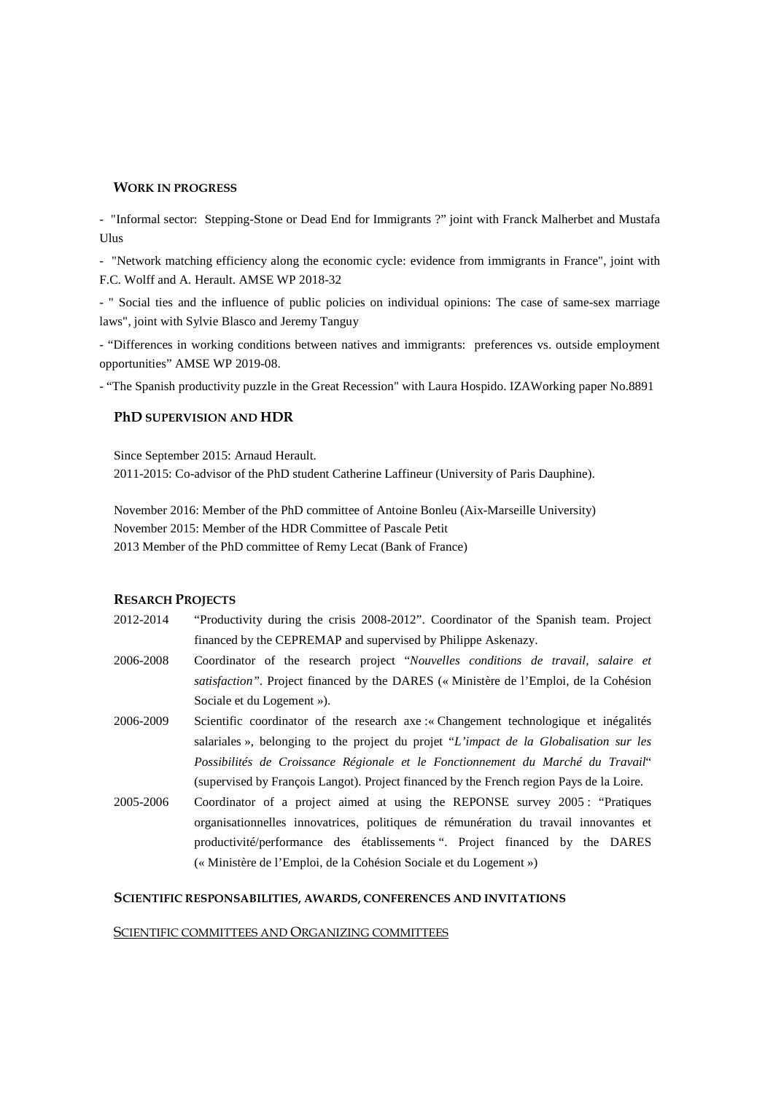### **WORK IN PROGRESS**

- "Informal sector: Stepping-Stone or Dead End for Immigrants ?" joint with Franck Malherbet and Mustafa Ulus

- "Network matching efficiency along the economic cycle: evidence from immigrants in France", joint with F.C. Wolff and A. Herault. AMSE WP 2018-32

- " Social ties and the influence of public policies on individual opinions: The case of same-sex marriage laws", joint with Sylvie Blasco and Jeremy Tanguy

- "Differences in working conditions between natives and immigrants: preferences vs. outside employment opportunities" AMSE WP 2019-08.

- "The Spanish productivity puzzle in the Great Recession" with Laura Hospido. IZAWorking paper No.8891

# **PhD SUPERVISION AND HDR**

Since September 2015: Arnaud Herault.

2011-2015: Co-advisor of the PhD student Catherine Laffineur (University of Paris Dauphine).

November 2016: Member of the PhD committee of Antoine Bonleu (Aix-Marseille University) November 2015: Member of the HDR Committee of Pascale Petit 2013 Member of the PhD committee of Remy Lecat (Bank of France)

# **RESARCH PROJECTS**

- 2012-2014 "Productivity during the crisis 2008-2012". Coordinator of the Spanish team. Project financed by the CEPREMAP and supervised by Philippe Askenazy.
- 2006-2008 Coordinator of the research project "*Nouvelles conditions de travail, salaire et satisfaction"*. Project financed by the DARES (« Ministère de l'Emploi, de la Cohésion Sociale et du Logement »).
- 2006-2009 Scientific coordinator of the research axe :« Changement technologique et inégalités salariales », belonging to the project du projet "*L'impact de la Globalisation sur les Possibilités de Croissance Régionale et le Fonctionnement du Marché du Travail*" (supervised by François Langot). Project financed by the French region Pays de la Loire.
- 2005-2006 Coordinator of a project aimed at using the REPONSE survey 2005 : "Pratiques organisationnelles innovatrices, politiques de rémunération du travail innovantes et productivité/performance des établissements ". Project financed by the DARES (« Ministère de l'Emploi, de la Cohésion Sociale et du Logement »)

## **SCIENTIFIC RESPONSABILITIES, AWARDS, CONFERENCES AND INVITATIONS**

#### SCIENTIFIC COMMITTEES AND ORGANIZING COMMITTEES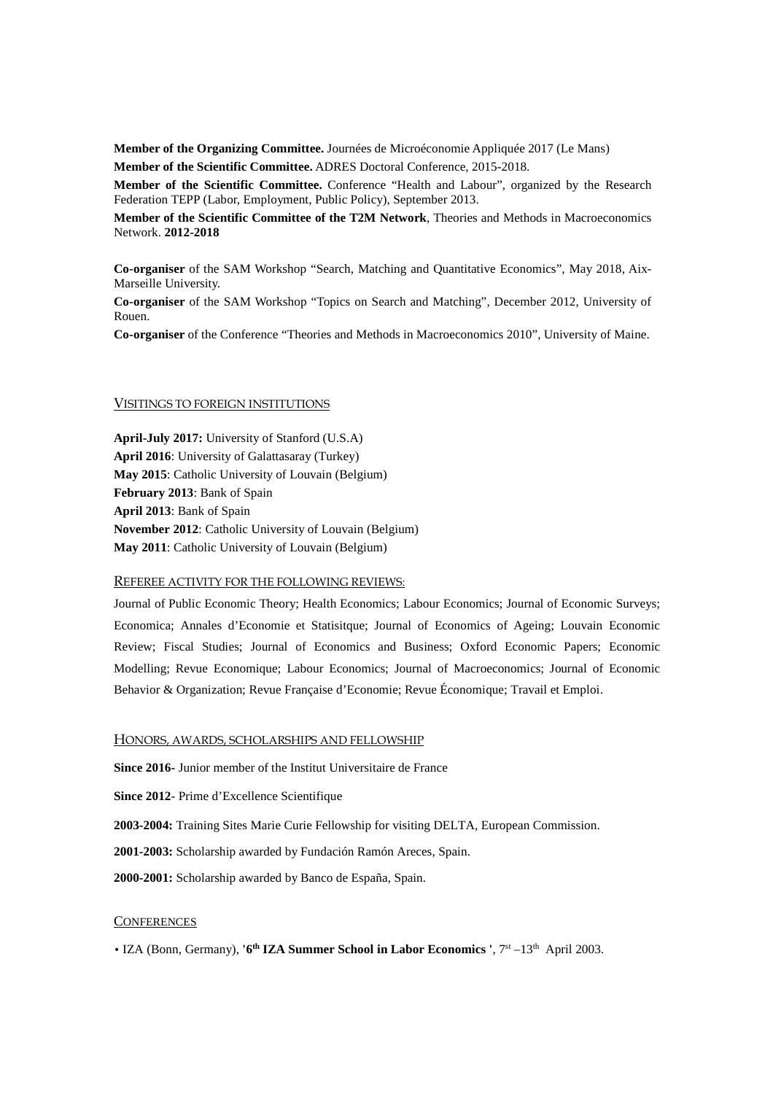**Member of the Organizing Committee.** Journées de Microéconomie Appliquée 2017 (Le Mans) **Member of the Scientific Committee.** ADRES Doctoral Conference, 2015-2018.

**Member of the Scientific Committee.** Conference "Health and Labour", organized by the Research Federation TEPP (Labor, Employment, Public Policy), September 2013.

**Member of the Scientific Committee of the T2M Network**, Theories and Methods in Macroeconomics Network. **2012-2018**

**Co-organiser** of the SAM Workshop "Search, Matching and Quantitative Economics", May 2018, Aix-Marseille University.

**Co-organiser** of the SAM Workshop "Topics on Search and Matching", December 2012, University of Rouen.

**Co-organiser** of the Conference "Theories and Methods in Macroeconomics 2010", University of Maine.

# VISITINGS TO FOREIGN INSTITUTIONS

**April-July 2017:** University of Stanford (U.S.A) **April 2016**: University of Galattasaray (Turkey) **May 2015**: Catholic University of Louvain (Belgium) **February 2013**: Bank of Spain **April 2013**: Bank of Spain **November 2012**: Catholic University of Louvain (Belgium) **May 2011**: Catholic University of Louvain (Belgium)

#### REFEREE ACTIVITY FOR THE FOLLOWING REVIEWS:

Journal of Public Economic Theory; Health Economics; Labour Economics; Journal of Economic Surveys; Economica; Annales d'Economie et Statisitque; Journal of Economics of Ageing; Louvain Economic Review; Fiscal Studies; Journal of Economics and Business; Oxford Economic Papers; Economic Modelling; Revue Economique; Labour Economics; Journal of Macroeconomics; Journal of Economic Behavior & Organization; Revue Française d'Economie; Revue Économique; Travail et Emploi.

#### HONORS, AWARDS, SCHOLARSHIPS AND FELLOWSHIP

**Since 2016-** Junior member of the Institut Universitaire de France

**Since 2012**- Prime d'Excellence Scientifique

**2003-2004:** Training Sites Marie Curie Fellowship for visiting DELTA, European Commission.

**2001-2003:** Scholarship awarded by Fundación Ramón Areces, Spain.

**2000-2001:** Scholarship awarded by Banco de España, Spain.

# **CONFERENCES**

• IZA (Bonn, Germany), **'6th IZA Summer School in Labor Economics '**, 7st –13th April 2003.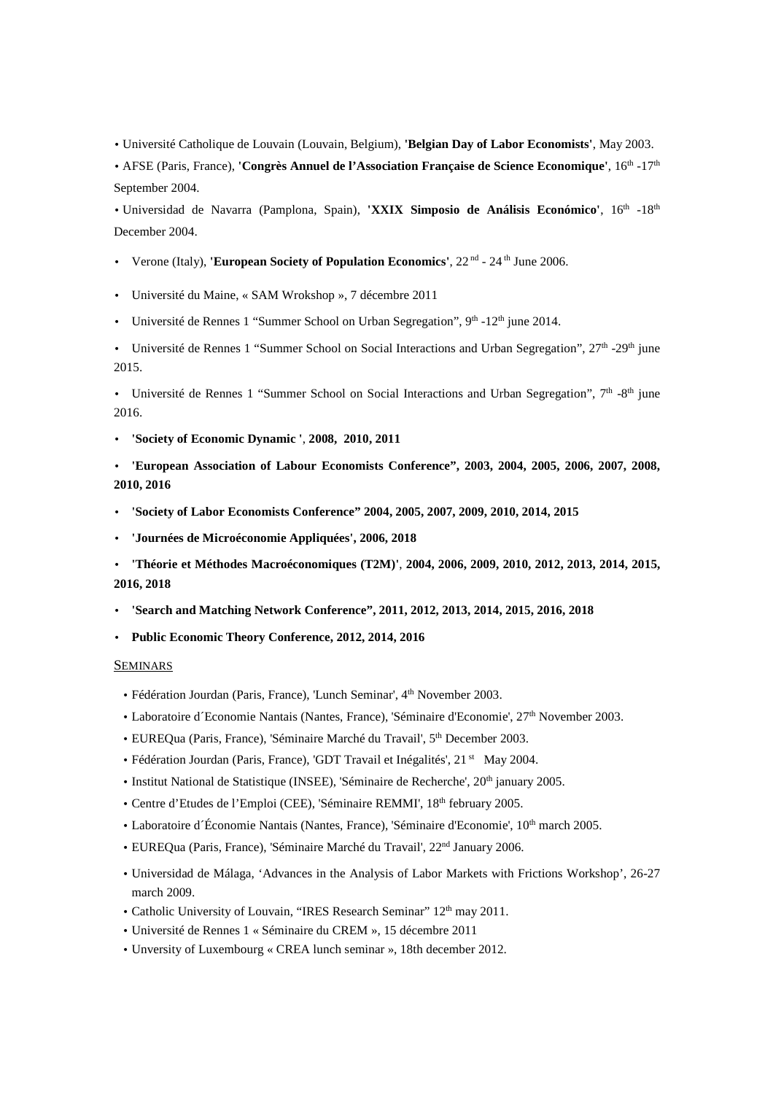• Université Catholique de Louvain (Louvain, Belgium), **'Belgian Day of Labor Economists'**, May 2003.

• AFSE (Paris, France), **'Congrès Annuel de l'Association Française de Science Economique'**, 16<sup>th</sup> -17<sup>th</sup> September 2004.

• Universidad de Navarra (Pamplona, Spain), **'XXIX Simposio de Análisis Económico'**, 16th -18th December 2004.

- Verone (Italy), **'European Society of Population Economics'**, 22 nd 24 th June 2006.
- Université du Maine, « SAM Wrokshop », 7 décembre 2011
- Université de Rennes 1 "Summer School on Urban Segregation",  $9<sup>th</sup> -12<sup>th</sup>$  june 2014.

• Université de Rennes 1 "Summer School on Social Interactions and Urban Segregation", 27<sup>th</sup> -29<sup>th</sup> june 2015.

• Université de Rennes 1 "Summer School on Social Interactions and Urban Segregation",  $7<sup>th</sup>$  -8<sup>th</sup> june 2016.

- **'Society of Economic Dynamic '**, **2008, 2010, 2011**
- **'European Association of Labour Economists Conference", 2003, 2004, 2005, 2006, 2007, 2008, 2010, 2016**
- **'Society of Labor Economists Conference" 2004, 2005, 2007, 2009, 2010, 2014, 2015**
- **'Journées de Microéconomie Appliquées', 2006, 2018**

• **'Théorie et Méthodes Macroéconomiques (T2M)'**, **2004, 2006, 2009, 2010, 2012, 2013, 2014, 2015, 2016, 2018**

- **'Search and Matching Network Conference", 2011, 2012, 2013, 2014, 2015, 2016, 2018**
- **Public Economic Theory Conference, 2012, 2014, 2016**

#### SEMINARS

- Fédération Jourdan (Paris, France), 'Lunch Seminar', 4<sup>th</sup> November 2003.
- Laboratoire d'Economie Nantais (Nantes, France), 'Séminaire d'Economie', 27<sup>th</sup> November 2003.
- EUREQua (Paris, France), 'Séminaire Marché du Travail', 5<sup>th</sup> December 2003.
- Fédération Jourdan (Paris, France), 'GDT Travail et Inégalités', 21 st May 2004.
- Institut National de Statistique (INSEE), 'Séminaire de Recherche', 20<sup>th</sup> january 2005.
- Centre d'Etudes de l'Emploi (CEE), 'Séminaire REMMI', 18th february 2005.
- Laboratoire d´Économie Nantais (Nantes, France), 'Séminaire d'Economie', 10th march 2005.
- EUREQua (Paris, France), 'Séminaire Marché du Travail', 22nd January 2006.
- Universidad de Málaga, 'Advances in the Analysis of Labor Markets with Frictions Workshop', 26-27 march 2009.
- Catholic University of Louvain, "IRES Research Seminar" 12<sup>th</sup> may 2011.
- Université de Rennes 1 « Séminaire du CREM », 15 décembre 2011
- Unversity of Luxembourg « CREA lunch seminar », 18th december 2012.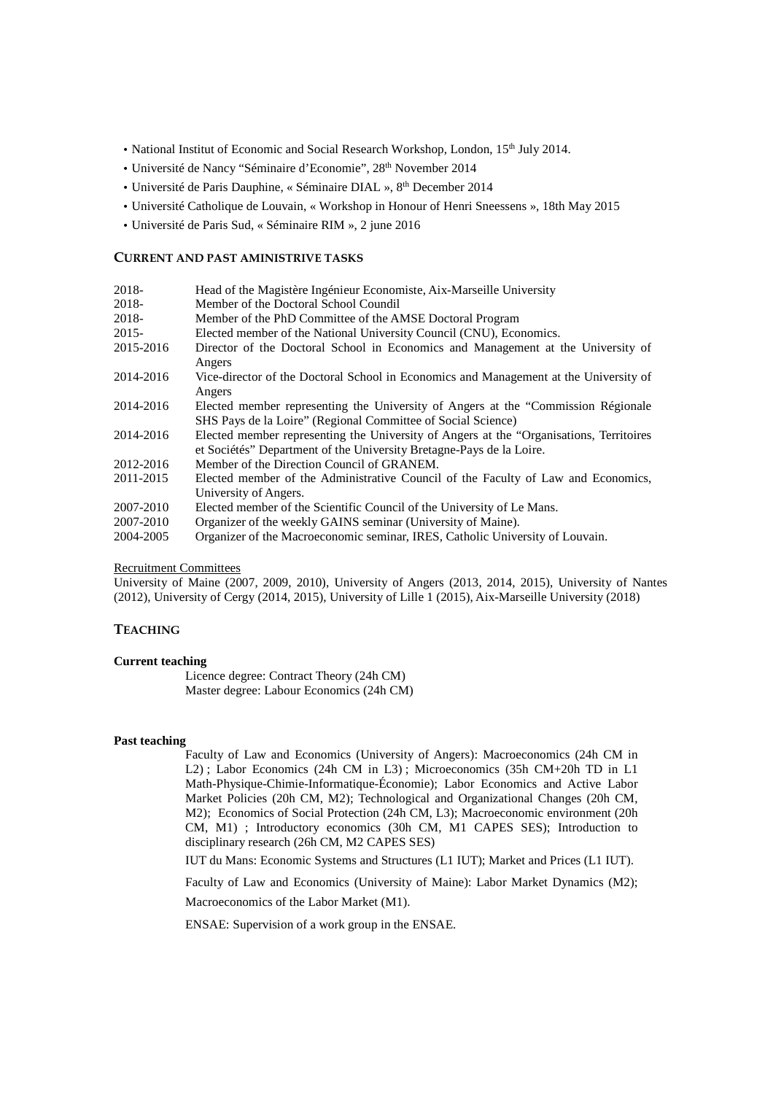- National Institut of Economic and Social Research Workshop, London, 15<sup>th</sup> July 2014.
- Université de Nancy "Séminaire d'Economie", 28th November 2014
- Université de Paris Dauphine, « Séminaire DIAL », 8<sup>th</sup> December 2014
- Université Catholique de Louvain, « Workshop in Honour of Henri Sneessens », 18th May 2015
- Université de Paris Sud, « Séminaire RIM », 2 june 2016

#### **CURRENT AND PAST AMINISTRIVE TASKS**

| 2018-     | Head of the Magistère Ingénieur Economiste, Aix-Marseille University                                                                                             |
|-----------|------------------------------------------------------------------------------------------------------------------------------------------------------------------|
| 2018-     | Member of the Doctoral School Coundil                                                                                                                            |
| 2018-     | Member of the PhD Committee of the AMSE Doctoral Program                                                                                                         |
| $2015 -$  | Elected member of the National University Council (CNU), Economics.                                                                                              |
| 2015-2016 | Director of the Doctoral School in Economics and Management at the University of<br>Angers                                                                       |
| 2014-2016 | Vice-director of the Doctoral School in Economics and Management at the University of<br>Angers                                                                  |
| 2014-2016 | Elected member representing the University of Angers at the "Commission Régionale"<br>SHS Pays de la Loire" (Regional Committee of Social Science)               |
| 2014-2016 | Elected member representing the University of Angers at the "Organisations, Territoires"<br>et Sociétés" Department of the University Bretagne-Pays de la Loire. |
| 2012-2016 | Member of the Direction Council of GRANEM.                                                                                                                       |
| 2011-2015 | Elected member of the Administrative Council of the Faculty of Law and Economics,<br>University of Angers.                                                       |
| 2007-2010 | Elected member of the Scientific Council of the University of Le Mans.                                                                                           |
| 2007-2010 | Organizer of the weekly GAINS seminar (University of Maine).                                                                                                     |
| 2004-2005 | Organizer of the Macroeconomic seminar, IRES, Catholic University of Louvain.                                                                                    |

#### Recruitment Committees

University of Maine (2007, 2009, 2010), University of Angers (2013, 2014, 2015), University of Nantes (2012), University of Cergy (2014, 2015), University of Lille 1 (2015), Aix-Marseille University (2018)

#### **TEACHING**

# **Current teaching**

 Licence degree: Contract Theory (24h CM) Master degree: Labour Economics (24h CM)

#### **Past teaching**

 Faculty of Law and Economics (University of Angers): Macroeconomics (24h CM in L2) ; Labor Economics (24h CM in L3) ; Microeconomics (35h CM+20h TD in L1 Math-Physique-Chimie-Informatique-Économie); Labor Economics and Active Labor Market Policies (20h CM, M2); Technological and Organizational Changes (20h CM, M2); Economics of Social Protection (24h CM, L3); Macroeconomic environment (20h CM, M1) ; Introductory economics (30h CM, M1 CAPES SES); Introduction to disciplinary research (26h CM, M2 CAPES SES)

IUT du Mans: Economic Systems and Structures (L1 IUT); Market and Prices (L1 IUT).

Faculty of Law and Economics (University of Maine): Labor Market Dynamics (M2);

Macroeconomics of the Labor Market (M1).

ENSAE: Supervision of a work group in the ENSAE.